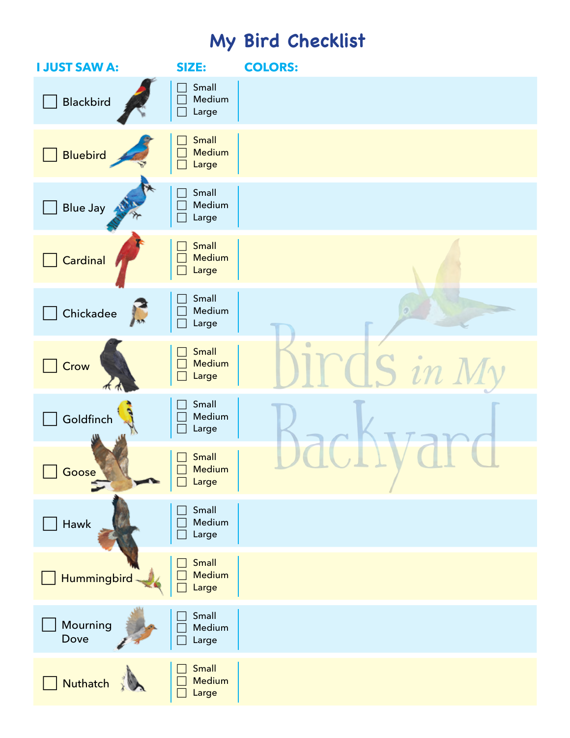## **My Bird Checklist**